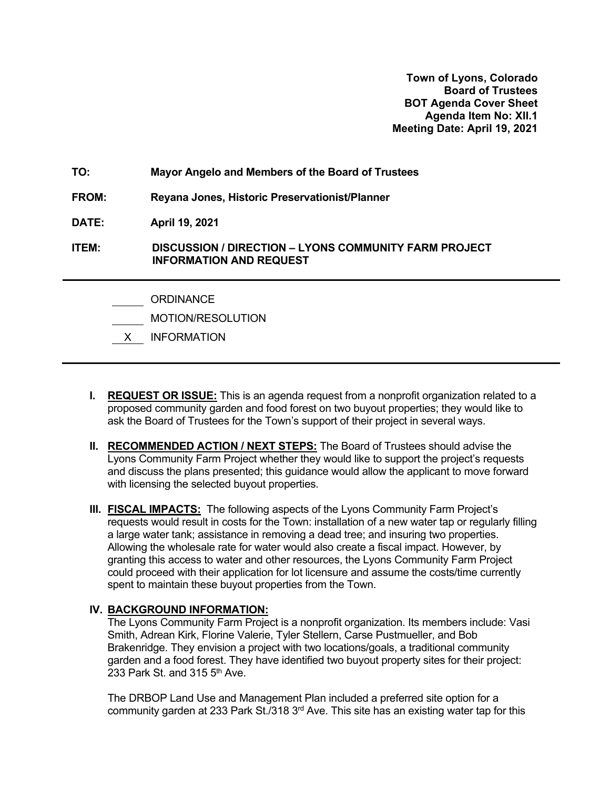**Town of Lyons, Colorado Board of Trustees BOT Agenda Cover Sheet Agenda Item No: XII.1 Meeting Date: April 19, 2021**

**TO: Mayor Angelo and Members of the Board of Trustees FROM: Reyana Jones, Historic Preservationist/Planner DATE: April 19, 2021 ITEM: DISCUSSION / DIRECTION – LYONS COMMUNITY FARM PROJECT INFORMATION AND REQUEST** ORDINANCE

- MOTION/RESOLUTION
- X INFORMATION
- **I. REQUEST OR ISSUE:** This is an agenda request from a nonprofit organization related to a proposed community garden and food forest on two buyout properties; they would like to ask the Board of Trustees for the Town's support of their project in several ways.
- **II. RECOMMENDED ACTION / NEXT STEPS:** The Board of Trustees should advise the Lyons Community Farm Project whether they would like to support the project's requests and discuss the plans presented; this guidance would allow the applicant to move forward with licensing the selected buyout properties.
- **III. FISCAL IMPACTS:** The following aspects of the Lyons Community Farm Project's requests would result in costs for the Town: installation of a new water tap or regularly filling a large water tank; assistance in removing a dead tree; and insuring two properties. Allowing the wholesale rate for water would also create a fiscal impact. However, by granting this access to water and other resources, the Lyons Community Farm Project could proceed with their application for lot licensure and assume the costs/time currently spent to maintain these buyout properties from the Town.

## **IV. BACKGROUND INFORMATION:**

The Lyons Community Farm Project is a nonprofit organization. Its members include: Vasi Smith, Adrean Kirk, Florine Valerie, Tyler Stellern, Carse Pustmueller, and Bob Brakenridge. They envision a project with two locations/goals, a traditional community garden and a food forest. They have identified two buyout property sites for their project: 233 Park St. and 315  $5<sup>th</sup>$  Ave.

The DRBOP Land Use and Management Plan included a preferred site option for a community garden at 233 Park St./318 3<sup>rd</sup> Ave. This site has an existing water tap for this